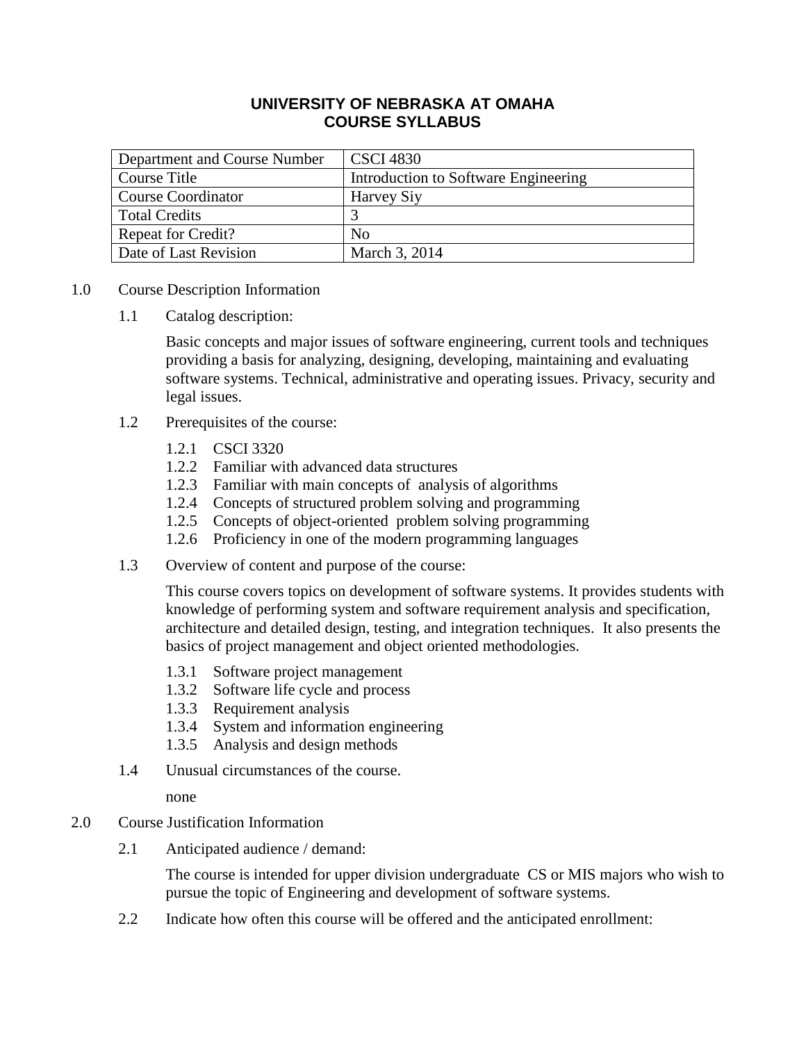# **UNIVERSITY OF NEBRASKA AT OMAHA COURSE SYLLABUS**

| Department and Course Number | <b>CSCI 4830</b>                     |
|------------------------------|--------------------------------------|
| Course Title                 | Introduction to Software Engineering |
| <b>Course Coordinator</b>    | Harvey Siy                           |
| <b>Total Credits</b>         |                                      |
| <b>Repeat for Credit?</b>    | No                                   |
| Date of Last Revision        | March 3, 2014                        |

- 1.0 Course Description Information
	- 1.1 Catalog description:

Basic concepts and major issues of software engineering, current tools and techniques providing a basis for analyzing, designing, developing, maintaining and evaluating software systems. Technical, administrative and operating issues. Privacy, security and legal issues.

- 1.2 Prerequisites of the course:
	- 1.2.1 CSCI 3320
	- 1.2.2 Familiar with advanced data structures
	- 1.2.3 Familiar with main concepts of analysis of algorithms
	- 1.2.4 Concepts of structured problem solving and programming
	- 1.2.5 Concepts of object-oriented problem solving programming
	- 1.2.6 Proficiency in one of the modern programming languages
- 1.3 Overview of content and purpose of the course:

This course covers topics on development of software systems. It provides students with knowledge of performing system and software requirement analysis and specification, architecture and detailed design, testing, and integration techniques. It also presents the basics of project management and object oriented methodologies.

- 1.3.1 Software project management
- 1.3.2 Software life cycle and process
- 1.3.3 Requirement analysis
- 1.3.4 System and information engineering
- 1.3.5 Analysis and design methods
- 1.4 Unusual circumstances of the course.

none

- 2.0 Course Justification Information
	- 2.1 Anticipated audience / demand:

The course is intended for upper division undergraduate CS or MIS majors who wish to pursue the topic of Engineering and development of software systems.

2.2 Indicate how often this course will be offered and the anticipated enrollment: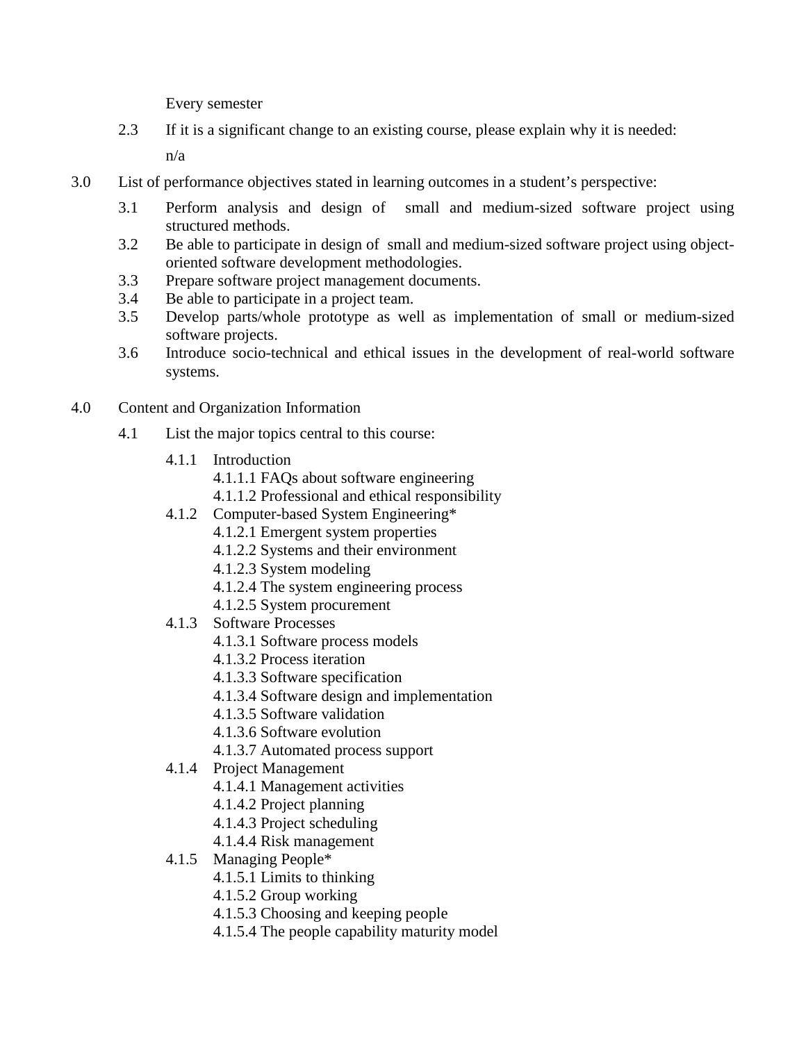Every semester

2.3 If it is a significant change to an existing course, please explain why it is needed:

n/a

- 3.0 List of performance objectives stated in learning outcomes in a student's perspective:
	- 3.1 Perform analysis and design of small and medium-sized software project using structured methods.
	- 3.2 Be able to participate in design of small and medium-sized software project using objectoriented software development methodologies.
	- 3.3 Prepare software project management documents.
	- 3.4 Be able to participate in a project team.
	- 3.5 Develop parts/whole prototype as well as implementation of small or medium-sized software projects.
	- 3.6 Introduce socio-technical and ethical issues in the development of real-world software systems.
- 4.0 Content and Organization Information
	- 4.1 List the major topics central to this course:
		- 4.1.1 Introduction
			- 4.1.1.1 FAQs about software engineering
			- 4.1.1.2 Professional and ethical responsibility
		- 4.1.2 Computer-based System Engineering\*
			- 4.1.2.1 Emergent system properties
			- 4.1.2.2 Systems and their environment
			- 4.1.2.3 System modeling
			- 4.1.2.4 The system engineering process
			- 4.1.2.5 System procurement
		- 4.1.3 Software Processes
			- 4.1.3.1 Software process models
			- 4.1.3.2 Process iteration
			- 4.1.3.3 Software specification
			- 4.1.3.4 Software design and implementation
			- 4.1.3.5 Software validation
			- 4.1.3.6 Software evolution
			- 4.1.3.7 Automated process support
		- 4.1.4 Project Management
			- 4.1.4.1 Management activities
			- 4.1.4.2 Project planning
			- 4.1.4.3 Project scheduling
			- 4.1.4.4 Risk management
		- 4.1.5 Managing People\*
			- 4.1.5.1 Limits to thinking
			- 4.1.5.2 Group working
			- 4.1.5.3 Choosing and keeping people
			- 4.1.5.4 The people capability maturity model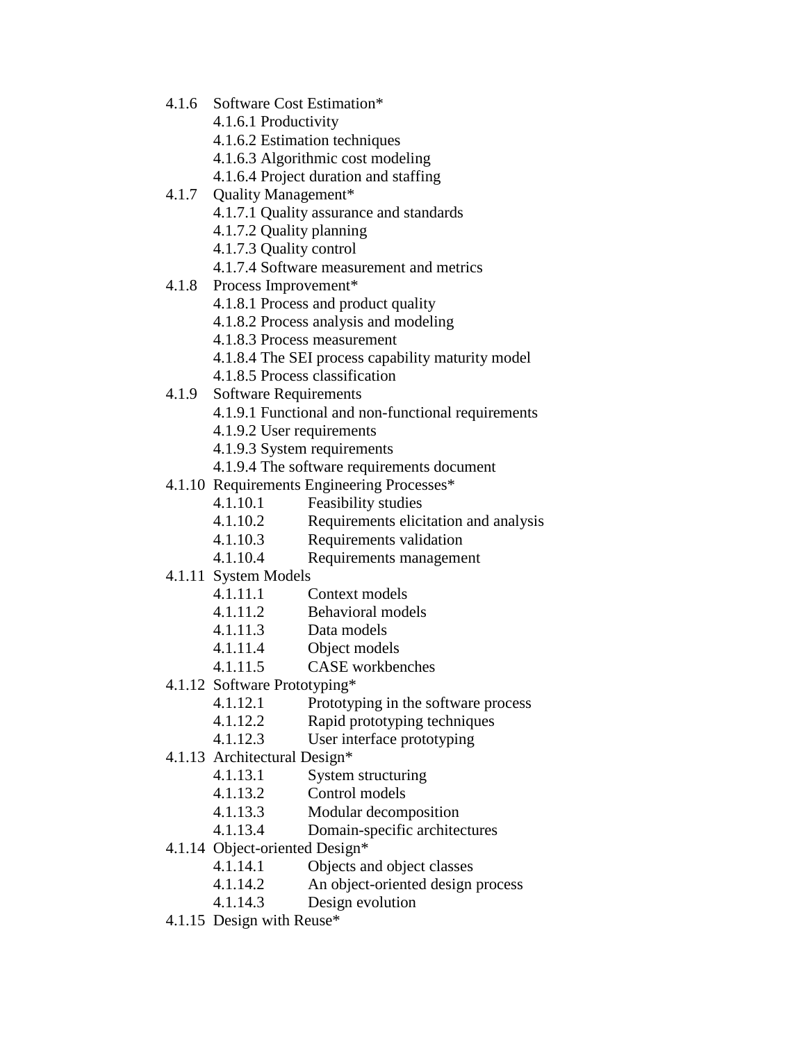- 4.1.6 Software Cost Estimation\*
	- 4.1.6.1 Productivity
	- 4.1.6.2 Estimation techniques
	- 4.1.6.3 Algorithmic cost modeling
	- 4.1.6.4 Project duration and staffing
- 4.1.7 Quality Management\*
	- 4.1.7.1 Quality assurance and standards
	- 4.1.7.2 Quality planning
	- 4.1.7.3 Quality control
	- 4.1.7.4 Software measurement and metrics
- 4.1.8 Process Improvement\*
	- 4.1.8.1 Process and product quality
	- 4.1.8.2 Process analysis and modeling
	- 4.1.8.3 Process measurement
	- 4.1.8.4 The SEI process capability maturity model
	- 4.1.8.5 Process classification
- 4.1.9 Software Requirements
	- 4.1.9.1 Functional and non-functional requirements
	- 4.1.9.2 User requirements
	- 4.1.9.3 System requirements
	- 4.1.9.4 The software requirements document
- 4.1.10 Requirements Engineering Processes\*
	- 4.1.10.1 Feasibility studies
	- 4.1.10.2 Requirements elicitation and analysis
	- 4.1.10.3 Requirements validation
	- 4.1.10.4 Requirements management
- 4.1.11 System Models
	- 4.1.11.1 Context models
	- 4.1.11.2 Behavioral models
	- 4.1.11.3 Data models
	- 4.1.11.4 Object models
	- 4.1.11.5 CASE workbenches
- 4.1.12 Software Prototyping\*
	- 4.1.12.1 Prototyping in the software process
	- 4.1.12.2 Rapid prototyping techniques
	- 4.1.12.3 User interface prototyping
- 4.1.13 Architectural Design\*
	- 4.1.13.1 System structuring
	- 4.1.13.2 Control models
	- 4.1.13.3 Modular decomposition
	- 4.1.13.4 Domain-specific architectures
- 4.1.14 Object-oriented Design\*
	- 4.1.14.1 Objects and object classes
	- 4.1.14.2 An object-oriented design process
	- 4.1.14.3 Design evolution
- 4.1.15 Design with Reuse\*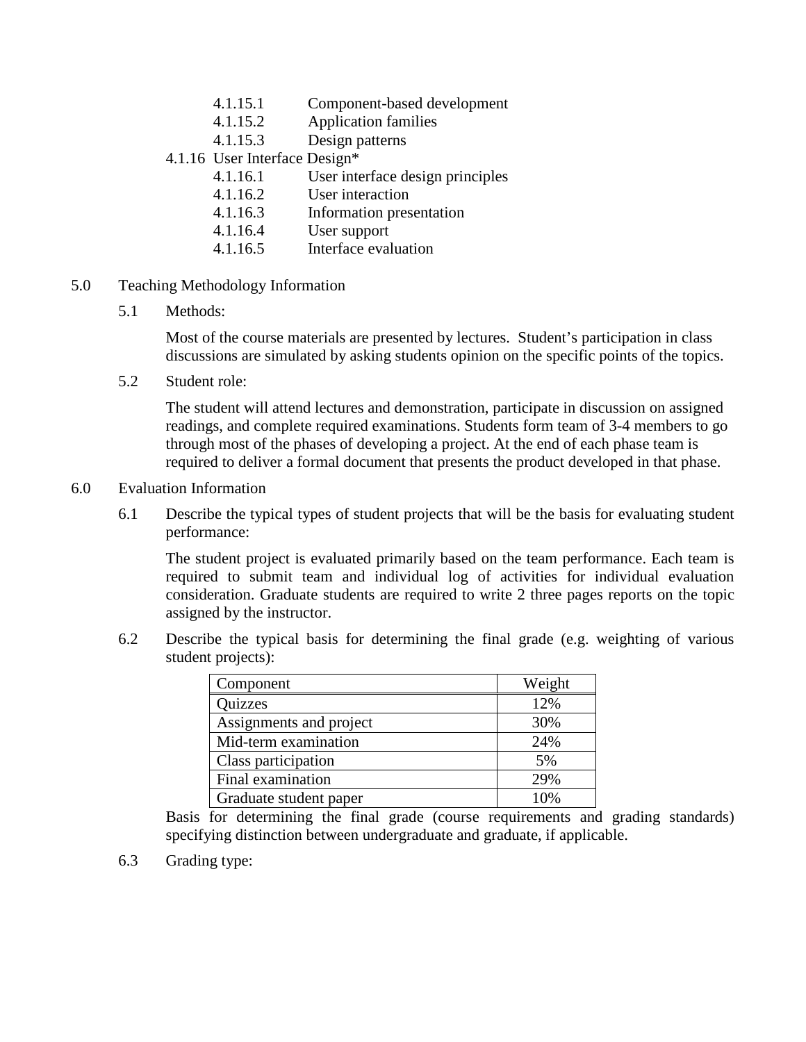- 4.1.15.1 Component-based development
- 4.1.15.2 Application families
- 4.1.15.3 Design patterns
- 4.1.16 User Interface Design\*
	- 4.1.16.1 User interface design principles
	- 4.1.16.2 User interaction<br>4.1.16.3 Information pres
		- 4.1.16.3 Information presentation
	- 4.1.16.4 User support
	- 4.1.16.5 Interface evaluation
- 5.0 Teaching Methodology Information
	- 5.1 Methods:

Most of the course materials are presented by lectures. Student's participation in class discussions are simulated by asking students opinion on the specific points of the topics.

5.2 Student role:

The student will attend lectures and demonstration, participate in discussion on assigned readings, and complete required examinations. Students form team of 3-4 members to go through most of the phases of developing a project. At the end of each phase team is required to deliver a formal document that presents the product developed in that phase.

### 6.0 Evaluation Information

6.1 Describe the typical types of student projects that will be the basis for evaluating student performance:

The student project is evaluated primarily based on the team performance. Each team is required to submit team and individual log of activities for individual evaluation consideration. Graduate students are required to write 2 three pages reports on the topic assigned by the instructor.

6.2 Describe the typical basis for determining the final grade (e.g. weighting of various student projects):

| Component               | Weight |
|-------------------------|--------|
| <b>Quizzes</b>          | 12%    |
| Assignments and project | 30%    |
| Mid-term examination    | 24%    |
| Class participation     | 5%     |
| Final examination       | 29%    |
| Graduate student paper  | 10%    |

Basis for determining the final grade (course requirements and grading standards) specifying distinction between undergraduate and graduate, if applicable.

6.3 Grading type: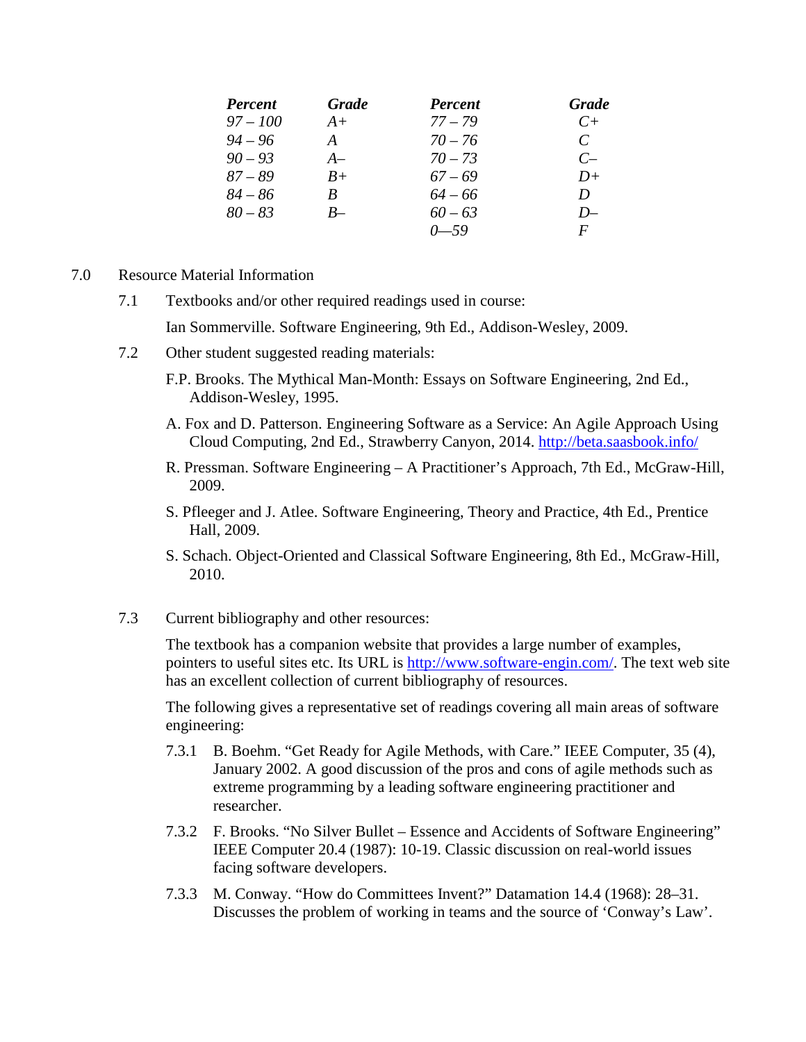| <b>Percent</b> | <b>Grade</b> | <b>Percent</b> | <b>Grade</b>  |
|----------------|--------------|----------------|---------------|
| $97 - 100$     | $A+$         | $77 - 79$      | $C+$          |
| $94 - 96$      | A            | $70 - 76$      | $\mathcal{C}$ |
| $90 - 93$      | $A-$         | $70 - 73$      | $C-$          |
| $87 - 89$      | $B+$         | $67 - 69$      | $D+$          |
| $84 - 86$      | R            | $64 - 66$      | D             |
| $80 - 83$      | $B-$         | $60 - 63$      | $D-$          |
|                |              | $0 - 59$       | F             |

- 7.0 Resource Material Information
	- 7.1 Textbooks and/or other required readings used in course:

Ian Sommerville. Software Engineering, 9th Ed., Addison-Wesley, 2009.

- 7.2 Other student suggested reading materials:
	- F.P. Brooks. The Mythical Man-Month: Essays on Software Engineering, 2nd Ed., Addison-Wesley, 1995.
	- A. Fox and D. Patterson. Engineering Software as a Service: An Agile Approach Using Cloud Computing, 2nd Ed., Strawberry Canyon, 2014.<http://beta.saasbook.info/>
	- R. Pressman. Software Engineering A Practitioner's Approach, 7th Ed., McGraw-Hill, 2009.
	- S. Pfleeger and J. Atlee. Software Engineering, Theory and Practice, 4th Ed., Prentice Hall, 2009.
	- S. Schach. Object-Oriented and Classical Software Engineering, 8th Ed., McGraw-Hill, 2010.
- 7.3 Current bibliography and other resources:

The textbook has a companion website that provides a large number of examples, pointers to useful sites etc. Its URL is [http://www.software-engin.com/.](http://www.software-engin.com/) The text web site has an excellent collection of current bibliography of resources.

The following gives a representative set of readings covering all main areas of software engineering:

- 7.3.1 B. Boehm. "Get Ready for Agile Methods, with Care." IEEE Computer, 35 (4), January 2002. A good discussion of the pros and cons of agile methods such as extreme programming by a leading software engineering practitioner and researcher.
- 7.3.2 F. Brooks. "No Silver Bullet Essence and Accidents of Software Engineering" IEEE Computer 20.4 (1987): 10-19. Classic discussion on real-world issues facing software developers.
- 7.3.3 M. Conway. "How do Committees Invent?" Datamation 14.4 (1968): 28–31. Discusses the problem of working in teams and the source of 'Conway's Law'.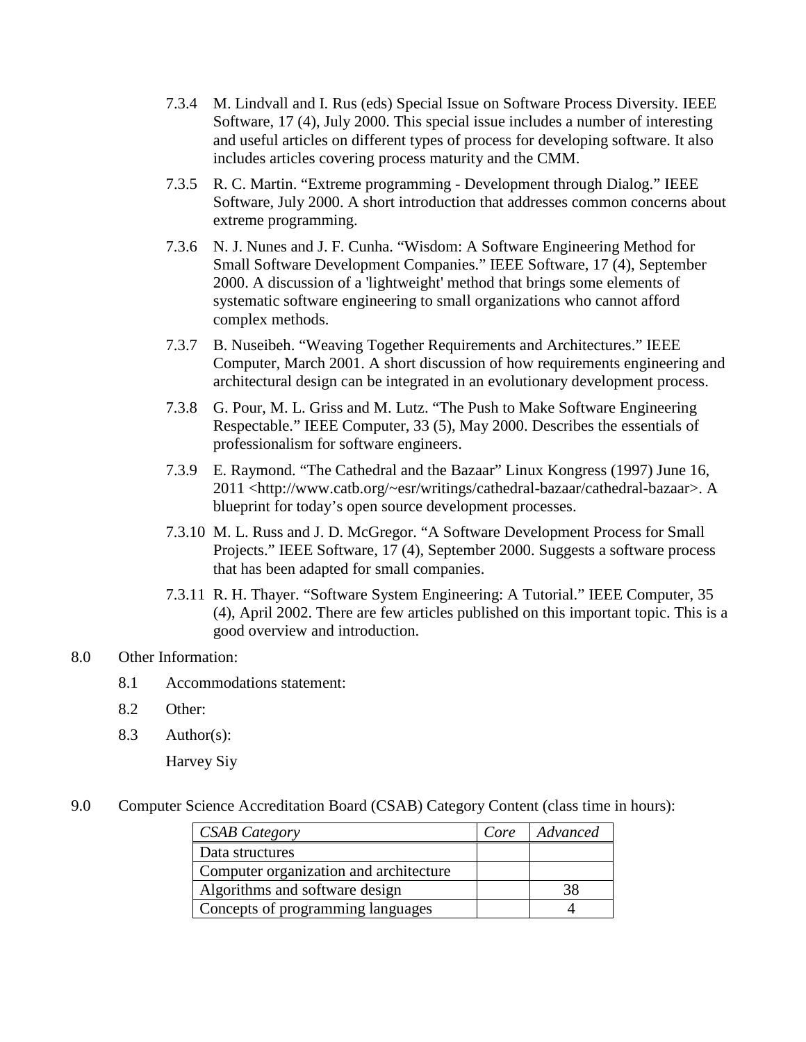- 7.3.4 M. Lindvall and I. Rus (eds) Special Issue on Software Process Diversity. IEEE Software, 17 (4), July 2000. This special issue includes a number of interesting and useful articles on different types of process for developing software. It also includes articles covering process maturity and the CMM.
- 7.3.5 R. C. Martin. "Extreme programming Development through Dialog." IEEE Software, July 2000. A short introduction that addresses common concerns about extreme programming.
- 7.3.6 N. J. Nunes and J. F. Cunha. "Wisdom: A Software Engineering Method for Small Software Development Companies." IEEE Software, 17 (4), September 2000. A discussion of a 'lightweight' method that brings some elements of systematic software engineering to small organizations who cannot afford complex methods.
- 7.3.7 B. Nuseibeh. "Weaving Together Requirements and Architectures." IEEE Computer, March 2001. A short discussion of how requirements engineering and architectural design can be integrated in an evolutionary development process.
- 7.3.8 G. Pour, M. L. Griss and M. Lutz. "The Push to Make Software Engineering Respectable." IEEE Computer, 33 (5), May 2000. Describes the essentials of professionalism for software engineers.
- 7.3.9 E. Raymond. "The Cathedral and the Bazaar" Linux Kongress (1997) June 16, 2011 <http://www.catb.org/~esr/writings/cathedral-bazaar/cathedral-bazaar>. A blueprint for today's open source development processes.
- 7.3.10 M. L. Russ and J. D. McGregor. "A Software Development Process for Small Projects." IEEE Software, 17 (4), September 2000. Suggests a software process that has been adapted for small companies.
- 7.3.11 R. H. Thayer. "Software System Engineering: A Tutorial." IEEE Computer, 35 (4), April 2002. There are few articles published on this important topic. This is a good overview and introduction.

### 8.0 Other Information:

- 8.1 Accommodations statement:
- 8.2 Other:
- 8.3 Author(s):

Harvey Siy

9.0 Computer Science Accreditation Board (CSAB) Category Content (class time in hours):

| <b>CSAB Category</b>                   | Core | Advanced |
|----------------------------------------|------|----------|
| Data structures                        |      |          |
| Computer organization and architecture |      |          |
| Algorithms and software design         |      |          |
| Concepts of programming languages      |      |          |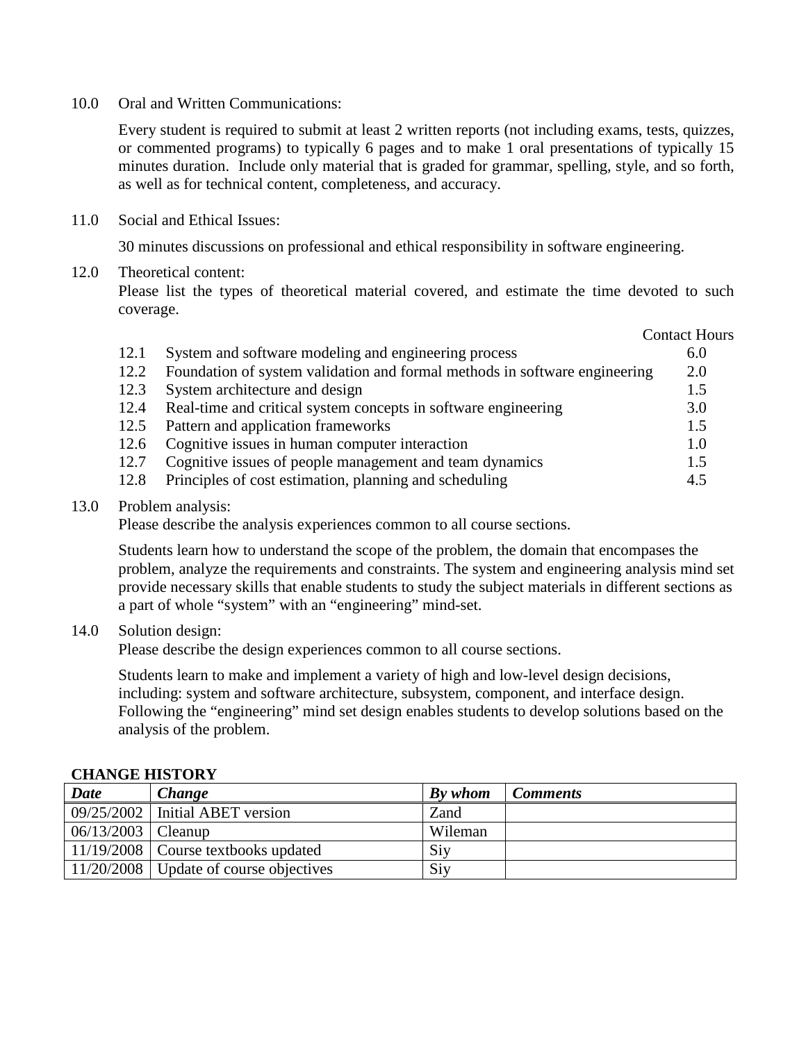10.0 Oral and Written Communications:

Every student is required to submit at least 2 written reports (not including exams, tests, quizzes, or commented programs) to typically 6 pages and to make 1 oral presentations of typically 15 minutes duration. Include only material that is graded for grammar, spelling, style, and so forth, as well as for technical content, completeness, and accuracy.

11.0 Social and Ethical Issues:

30 minutes discussions on professional and ethical responsibility in software engineering.

### 12.0 Theoretical content:

Please list the types of theoretical material covered, and estimate the time devoted to such coverage.

|      |                                                                            | <b>Contact Hours</b> |
|------|----------------------------------------------------------------------------|----------------------|
| 12.1 | System and software modeling and engineering process                       | 6.0                  |
| 12.2 | Foundation of system validation and formal methods in software engineering | 2.0                  |
| 12.3 | System architecture and design                                             | 1.5                  |
| 12.4 | Real-time and critical system concepts in software engineering             | 3.0                  |
| 12.5 | Pattern and application frameworks                                         | 1.5                  |
| 12.6 | Cognitive issues in human computer interaction                             | 1.0                  |
| 12.7 | Cognitive issues of people management and team dynamics                    | 1.5                  |
| 12.8 | Principles of cost estimation, planning and scheduling                     | 4.5                  |
|      |                                                                            |                      |

### 13.0 Problem analysis:

Please describe the analysis experiences common to all course sections.

Students learn how to understand the scope of the problem, the domain that encompases the problem, analyze the requirements and constraints. The system and engineering analysis mind set provide necessary skills that enable students to study the subject materials in different sections as a part of whole "system" with an "engineering" mind-set.

### 14.0 Solution design:

Please describe the design experiences common to all course sections.

Students learn to make and implement a variety of high and low-level design decisions, including: system and software architecture, subsystem, component, and interface design. Following the "engineering" mind set design enables students to develop solutions based on the analysis of the problem.

#### **CHANGE HISTORY**

| <b>Date</b>          | Change                                       | <b>By</b> whom | <b>Comments</b> |
|----------------------|----------------------------------------------|----------------|-----------------|
|                      | $09/25/2002$ Initial ABET version            | Zand           |                 |
| $06/13/2003$ Cleanup |                                              | Wileman        |                 |
|                      | $\mid$ 11/19/2008   Course textbooks updated | Siy            |                 |
|                      | 11/20/2008   Update of course objectives     | Siy            |                 |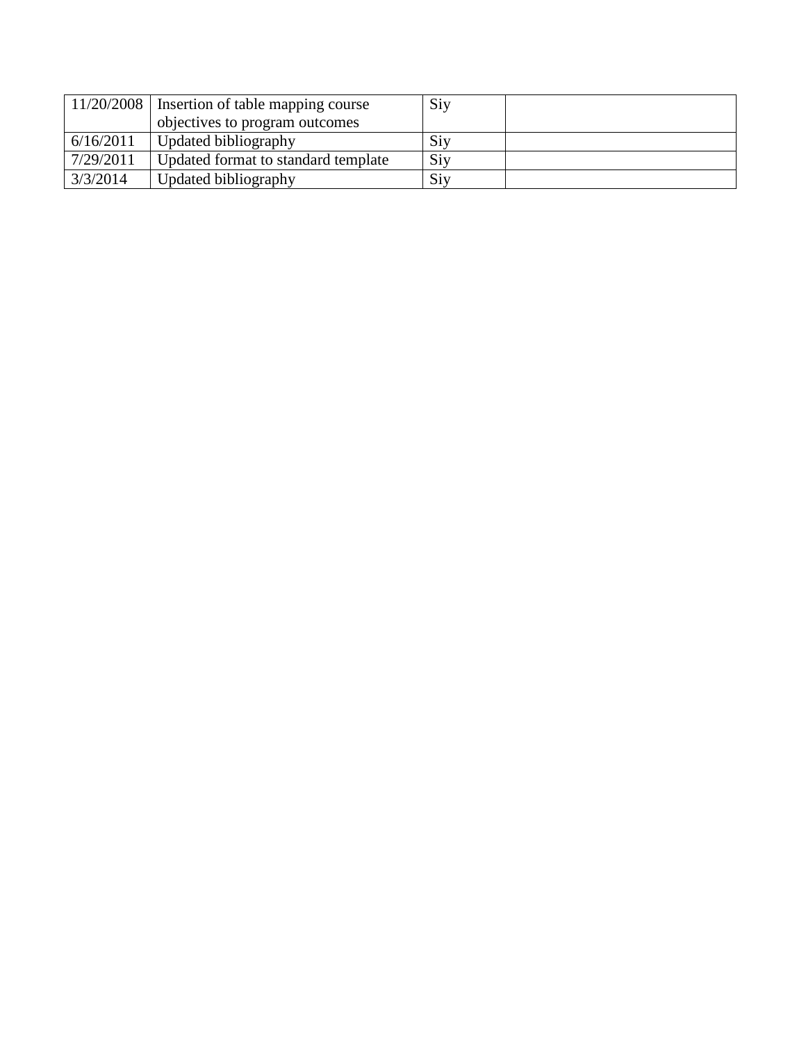|           | 11/20/2008   Insertion of table mapping course | Siy |  |
|-----------|------------------------------------------------|-----|--|
|           | objectives to program outcomes                 |     |  |
| 6/16/2011 | Updated bibliography                           | Siy |  |
| 7/29/2011 | Updated format to standard template            | Siy |  |
| 3/3/2014  | Updated bibliography                           | Siy |  |